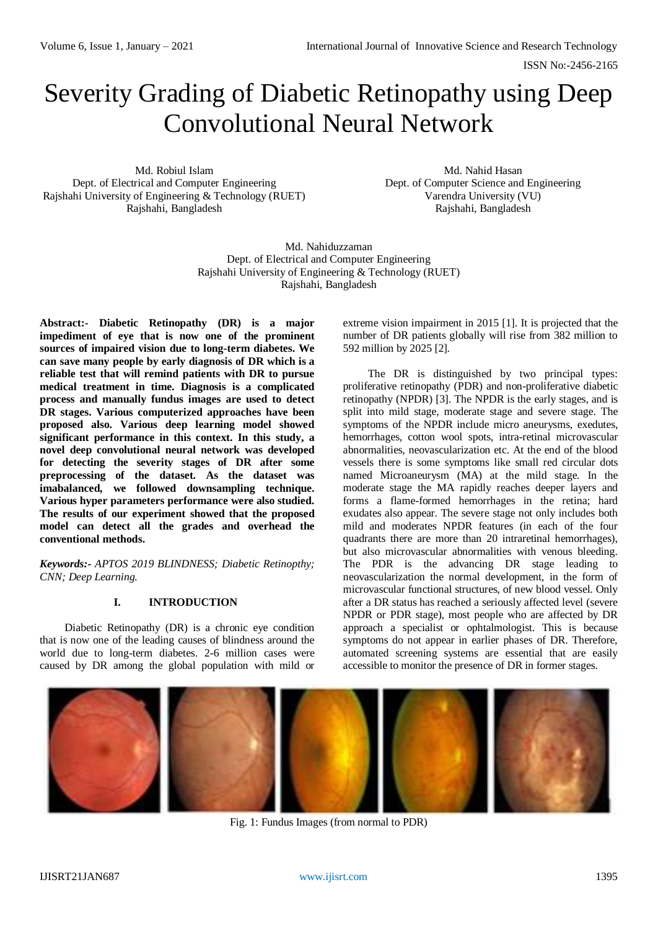# Severity Grading of Diabetic Retinopathy using Deep Convolutional Neural Network

Md. Robiul Islam Dept. of Electrical and Computer Engineering Rajshahi University of Engineering & Technology (RUET) Rajshahi, Bangladesh

Md. Nahid Hasan Dept. of Computer Science and Engineering Varendra University (VU) Rajshahi, Bangladesh

Md. Nahiduzzaman Dept. of Electrical and Computer Engineering Rajshahi University of Engineering & Technology (RUET) Rajshahi, Bangladesh

**Abstract:- Diabetic Retinopathy (DR) is a major impediment of eye that is now one of the prominent sources of impaired vision due to long-term diabetes. We can save many people by early diagnosis of DR which is a reliable test that will remind patients with DR to pursue medical treatment in time. Diagnosis is a complicated process and manually fundus images are used to detect DR stages. Various computerized approaches have been proposed also. Various deep learning model showed significant performance in this context. In this study, a novel deep convolutional neural network was developed for detecting the severity stages of DR after some preprocessing of the dataset. As the dataset was imabalanced, we followed downsampling technique. Various hyper parameters performance were also studied. The results of our experiment showed that the proposed model can detect all the grades and overhead the conventional methods.**

*Keywords:- APTOS 2019 BLINDNESS; Diabetic Retinopthy; CNN; Deep Learning.*

# **I. INTRODUCTION**

Diabetic Retinopathy (DR) is a chronic eye condition that is now one of the leading causes of blindness around the world due to long-term diabetes. 2-6 million cases were caused by DR among the global population with mild or

extreme vision impairment in 2015 [1]. It is projected that the number of DR patients globally will rise from 382 million to 592 million by 2025 [2].

The DR is distinguished by two principal types: proliferative retinopathy (PDR) and non-proliferative diabetic retinopathy (NPDR) [3]. The NPDR is the early stages, and is split into mild stage, moderate stage and severe stage. The symptoms of the NPDR include micro aneurysms, exedutes, hemorrhages, cotton wool spots, intra-retinal microvascular abnormalities, neovascularization etc. At the end of the blood vessels there is some symptoms like small red circular dots named Microaneurysm (MA) at the mild stage. In the moderate stage the MA rapidly reaches deeper layers and forms a flame-formed hemorrhages in the retina; hard exudates also appear. The severe stage not only includes both mild and moderates NPDR features (in each of the four quadrants there are more than 20 intraretinal hemorrhages), but also microvascular abnormalities with venous bleeding. The PDR is the advancing DR stage leading to neovascularization the normal development, in the form of microvascular functional structures, of new blood vessel. Only after a DR status has reached a seriously affected level (severe NPDR or PDR stage), most people who are affected by DR approach a specialist or ophtalmologist. This is because symptoms do not appear in earlier phases of DR. Therefore, automated screening systems are essential that are easily accessible to monitor the presence of DR in former stages.



Fig. 1: Fundus Images (from normal to PDR)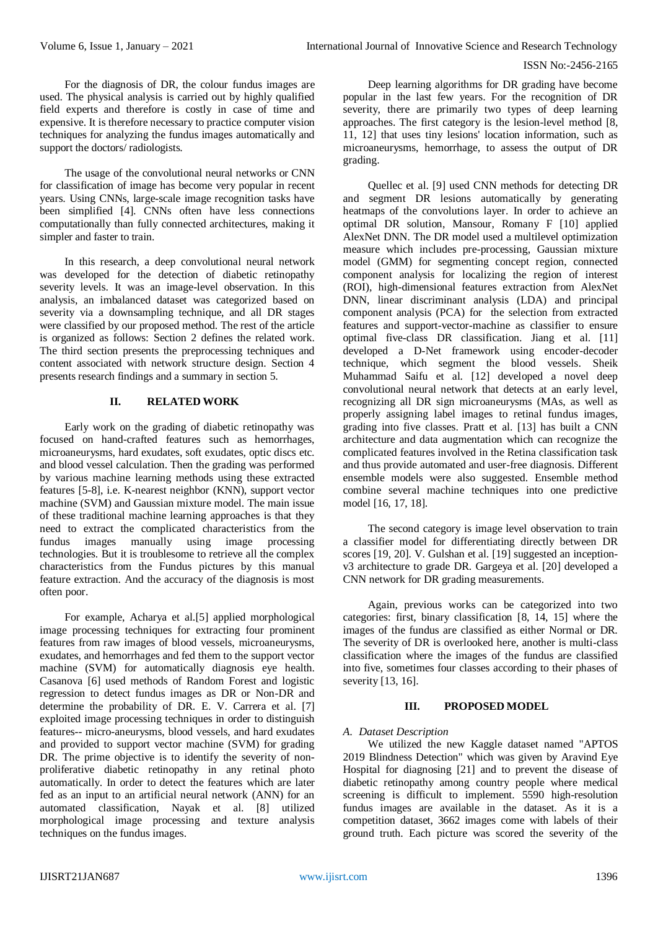For the diagnosis of DR, the colour fundus images are used. The physical analysis is carried out by highly qualified field experts and therefore is costly in case of time and expensive. It is therefore necessary to practice computer vision techniques for analyzing the fundus images automatically and support the doctors/ radiologists.

The usage of the convolutional neural networks or CNN for classification of image has become very popular in recent years. Using CNNs, large-scale image recognition tasks have been simplified [4]. CNNs often have less connections computationally than fully connected architectures, making it simpler and faster to train.

In this research, a deep convolutional neural network was developed for the detection of diabetic retinopathy severity levels. It was an image-level observation. In this analysis, an imbalanced dataset was categorized based on severity via a downsampling technique, and all DR stages were classified by our proposed method. The rest of the article is organized as follows: Section 2 defines the related work. The third section presents the preprocessing techniques and content associated with network structure design. Section 4 presents research findings and a summary in section 5.

# **II. RELATED WORK**

Early work on the grading of diabetic retinopathy was focused on hand-crafted features such as hemorrhages, microaneurysms, hard exudates, soft exudates, optic discs etc. and blood vessel calculation. Then the grading was performed by various machine learning methods using these extracted features [5-8], i.e. K-nearest neighbor (KNN), support vector machine (SVM) and Gaussian mixture model. The main issue of these traditional machine learning approaches is that they need to extract the complicated characteristics from the fundus images manually using image processing technologies. But it is troublesome to retrieve all the complex characteristics from the Fundus pictures by this manual feature extraction. And the accuracy of the diagnosis is most often poor.

For example, Acharya et al.[5] applied morphological image processing techniques for extracting four prominent features from raw images of blood vessels, microaneurysms, exudates, and hemorrhages and fed them to the support vector machine (SVM) for automatically diagnosis eye health. Casanova [6] used methods of Random Forest and logistic regression to detect fundus images as DR or Non-DR and determine the probability of DR. E. V. Carrera et al. [7] exploited image processing techniques in order to distinguish features-- micro-aneurysms, blood vessels, and hard exudates and provided to support vector machine (SVM) for grading DR. The prime objective is to identify the severity of nonproliferative diabetic retinopathy in any retinal photo automatically. In order to detect the features which are later fed as an input to an artificial neural network (ANN) for an automated classification, Nayak et al. [8] utilized morphological image processing and texture analysis techniques on the fundus images.

Deep learning algorithms for DR grading have become popular in the last few years. For the recognition of DR severity, there are primarily two types of deep learning approaches. The first category is the lesion-level method [8, 11, 12] that uses tiny lesions' location information, such as microaneurysms, hemorrhage, to assess the output of DR grading.

Quellec et al. [9] used CNN methods for detecting DR and segment DR lesions automatically by generating heatmaps of the convolutions layer. In order to achieve an optimal DR solution, Mansour, Romany F [10] applied AlexNet DNN. The DR model used a multilevel optimization measure which includes pre-processing, Gaussian mixture model (GMM) for segmenting concept region, connected component analysis for localizing the region of interest (ROI), high-dimensional features extraction from AlexNet DNN, linear discriminant analysis (LDA) and principal component analysis (PCA) for the selection from extracted features and support-vector-machine as classifier to ensure optimal five-class DR classification. Jiang et al. [11] developed a D-Net framework using encoder-decoder technique, which segment the blood vessels. Sheik Muhammad Saifu et al. [12] developed a novel deep convolutional neural network that detects at an early level, recognizing all DR sign microaneurysms (MAs, as well as properly assigning label images to retinal fundus images, grading into five classes. Pratt et al. [13] has built a CNN architecture and data augmentation which can recognize the complicated features involved in the Retina classification task and thus provide automated and user-free diagnosis. Different ensemble models were also suggested. Ensemble method combine several machine techniques into one predictive model [16, 17, 18].

The second category is image level observation to train a classifier model for differentiating directly between DR scores [19, 20]. V. Gulshan et al. [19] suggested an inceptionv3 architecture to grade DR. Gargeya et al. [20] developed a CNN network for DR grading measurements.

Again, previous works can be categorized into two categories: first, binary classification [8, 14, 15] where the images of the fundus are classified as either Normal or DR. The severity of DR is overlooked here, another is multi-class classification where the images of the fundus are classified into five, sometimes four classes according to their phases of severity [13, 16].

# **III. PROPOSED MODEL**

# *A. Dataset Description*

We utilized the new Kaggle dataset named "APTOS 2019 Blindness Detection" which was given by Aravind Eye Hospital for diagnosing [21] and to prevent the disease of diabetic retinopathy among country people where medical screening is difficult to implement. 5590 high-resolution fundus images are available in the dataset. As it is a competition dataset, 3662 images come with labels of their ground truth. Each picture was scored the severity of the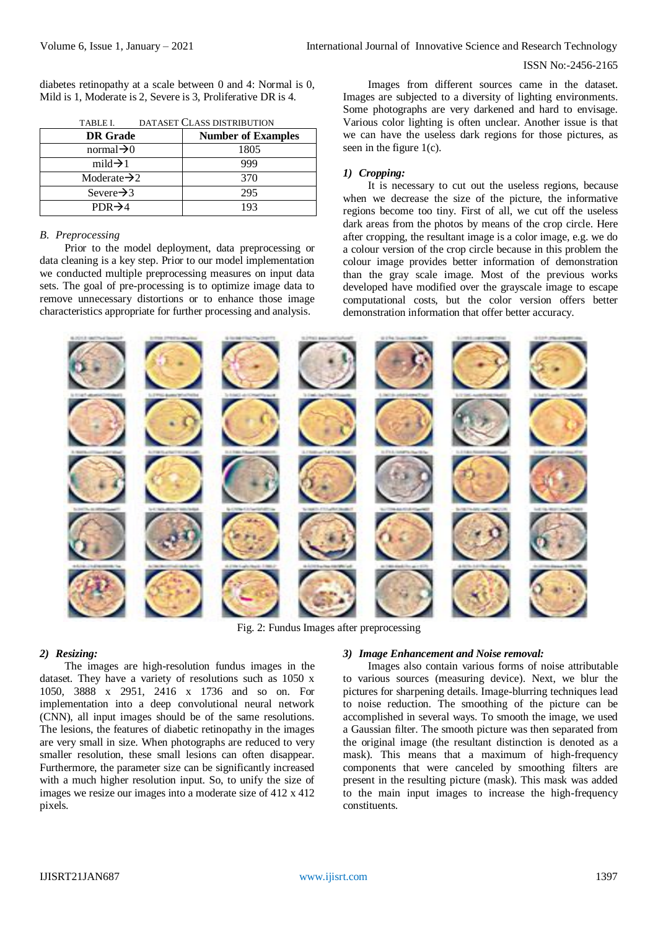diabetes retinopathy at a scale between 0 and 4: Normal is 0, Mild is 1, Moderate is 2, Severe is 3, Proliferative DR is 4.

| .<br>PARADEL CEANS PRIMPUTION |                           |  |
|-------------------------------|---------------------------|--|
| <b>DR</b> Grade               | <b>Number of Examples</b> |  |
| normal $\rightarrow 0$        | 1805                      |  |
| mild $\rightarrow$ 1          | 999                       |  |
| Moderate $\rightarrow$ 2      | 370                       |  |
| Severe $\rightarrow$ 3        | 295                       |  |
| $PDR\rightarrow 4$            | 193                       |  |

TABLE I. DATASET CLASS DISTRIBUTION

## *B. Preprocessing*

Prior to the model deployment, data preprocessing or data cleaning is a key step. Prior to our model implementation we conducted multiple preprocessing measures on input data sets. The goal of pre-processing is to optimize image data to remove unnecessary distortions or to enhance those image characteristics appropriate for further processing and analysis.

Images from different sources came in the dataset. Images are subjected to a diversity of lighting environments. Some photographs are very darkened and hard to envisage. Various color lighting is often unclear. Another issue is that we can have the useless dark regions for those pictures, as seen in the figure 1(c).

## *1) Cropping:*

It is necessary to cut out the useless regions, because when we decrease the size of the picture, the informative regions become too tiny. First of all, we cut off the useless dark areas from the photos by means of the crop circle. Here after cropping, the resultant image is a color image, e.g. we do a colour version of the crop circle because in this problem the colour image provides better information of demonstration than the gray scale image. Most of the previous works developed have modified over the grayscale image to escape computational costs, but the color version offers better demonstration information that offer better accuracy.



Fig. 2: Fundus Images after preprocessing

#### *2) Resizing:*

The images are high-resolution fundus images in the dataset. They have a variety of resolutions such as 1050 x 1050, 3888 x 2951, 2416 x 1736 and so on. For implementation into a deep convolutional neural network (CNN), all input images should be of the same resolutions. The lesions, the features of diabetic retinopathy in the images are very small in size. When photographs are reduced to very smaller resolution, these small lesions can often disappear. Furthermore, the parameter size can be significantly increased with a much higher resolution input. So, to unify the size of images we resize our images into a moderate size of 412 x 412 pixels.

#### *3) Image Enhancement and Noise removal:*

Images also contain various forms of noise attributable to various sources (measuring device). Next, we blur the pictures for sharpening details. Image-blurring techniques lead to noise reduction. The smoothing of the picture can be accomplished in several ways. To smooth the image, we used a Gaussian filter. The smooth picture was then separated from the original image (the resultant distinction is denoted as a mask). This means that a maximum of high-frequency components that were canceled by smoothing filters are present in the resulting picture (mask). This mask was added to the main input images to increase the high-frequency constituents.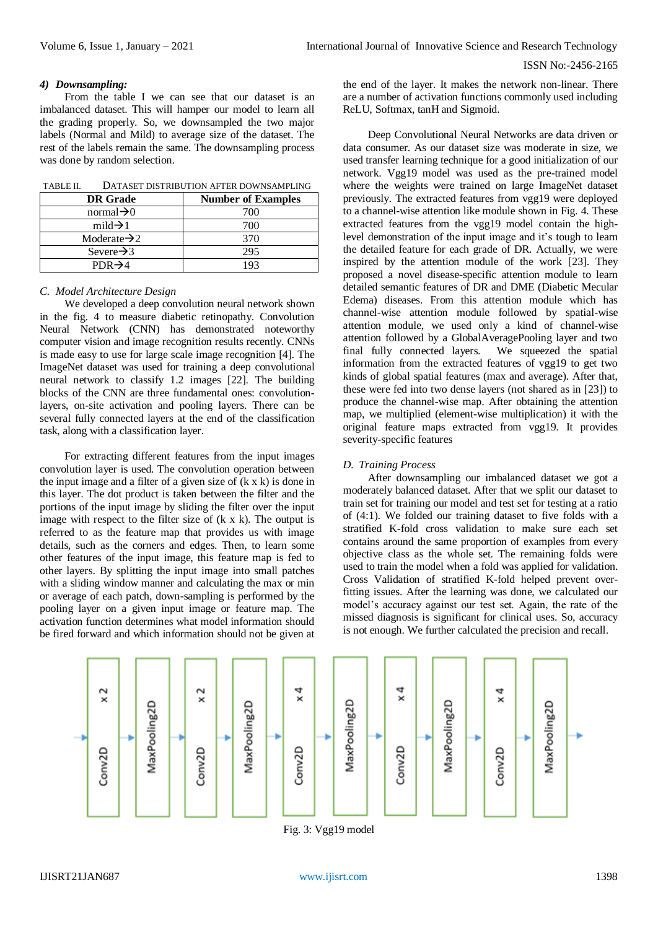## *4) Downsampling:*

From the table I we can see that our dataset is an imbalanced dataset. This will hamper our model to learn all the grading properly. So, we downsampled the two major labels (Normal and Mild) to average size of the dataset. The rest of the labels remain the same. The downsampling process was done by random selection.

| TABLE II. | DATASET DISTRIBUTION AFTER DOWNSAMPLING |
|-----------|-----------------------------------------|
|-----------|-----------------------------------------|

| <b>DR</b> Grade          | <b>Number of Examples</b> |  |
|--------------------------|---------------------------|--|
| normal $\rightarrow 0$   | 700                       |  |
| mild $\rightarrow$ 1     | 700                       |  |
| Moderate $\rightarrow$ 2 | 370                       |  |
| Severe $\rightarrow$ 3   | 295                       |  |
| $PDR \rightarrow 4$      |                           |  |

## *C. Model Architecture Design*

We developed a deep convolution neural network shown in the fig. 4 to measure diabetic retinopathy. Convolution Neural Network (CNN) has demonstrated noteworthy computer vision and image recognition results recently. CNNs is made easy to use for large scale image recognition [4]. The ImageNet dataset was used for training a deep convolutional neural network to classify 1.2 images [22]. The building blocks of the CNN are three fundamental ones: convolutionlayers, on-site activation and pooling layers. There can be several fully connected layers at the end of the classification task, along with a classification layer.

For extracting different features from the input images convolution layer is used. The convolution operation between the input image and a filter of a given size of (k x k) is done in this layer. The dot product is taken between the filter and the portions of the input image by sliding the filter over the input image with respect to the filter size of (k x k). The output is referred to as the feature map that provides us with image details, such as the corners and edges. Then, to learn some other features of the input image, this feature map is fed to other layers. By splitting the input image into small patches with a sliding window manner and calculating the max or min or average of each patch, down-sampling is performed by the pooling layer on a given input image or feature map. The activation function determines what model information should be fired forward and which information should not be given at the end of the layer. It makes the network non-linear. There are a number of activation functions commonly used including ReLU, Softmax, tanH and Sigmoid.

Deep Convolutional Neural Networks are data driven or data consumer. As our dataset size was moderate in size, we used transfer learning technique for a good initialization of our network. Vgg19 model was used as the pre-trained model where the weights were trained on large ImageNet dataset previously. The extracted features from vgg19 were deployed to a channel-wise attention like module shown in Fig. 4. These extracted features from the vgg19 model contain the highlevel demonstration of the input image and it's tough to learn the detailed feature for each grade of DR. Actually, we were inspired by the attention module of the work [23]. They proposed a novel disease-specific attention module to learn detailed semantic features of DR and DME (Diabetic Mecular Edema) diseases. From this attention module which has channel-wise attention module followed by spatial-wise attention module, we used only a kind of channel-wise attention followed by a GlobalAveragePooling layer and two final fully connected layers. We squeezed the spatial information from the extracted features of vgg19 to get two kinds of global spatial features (max and average). After that, these were fed into two dense layers (not shared as in [23]) to produce the channel-wise map. After obtaining the attention map, we multiplied (element-wise multiplication) it with the original feature maps extracted from vgg19. It provides severity-specific features

# *D. Training Process*

After downsampling our imbalanced dataset we got a moderately balanced dataset. After that we split our dataset to train set for training our model and test set for testing at a ratio of (4:1). We folded our training dataset to five folds with a stratified K-fold cross validation to make sure each set contains around the same proportion of examples from every objective class as the whole set. The remaining folds were used to train the model when a fold was applied for validation. Cross Validation of stratified K-fold helped prevent overfitting issues. After the learning was done, we calculated our model's accuracy against our test set. Again, the rate of the missed diagnosis is significant for clinical uses. So, accuracy is not enough. We further calculated the precision and recall.



Fig. 3: Vgg19 model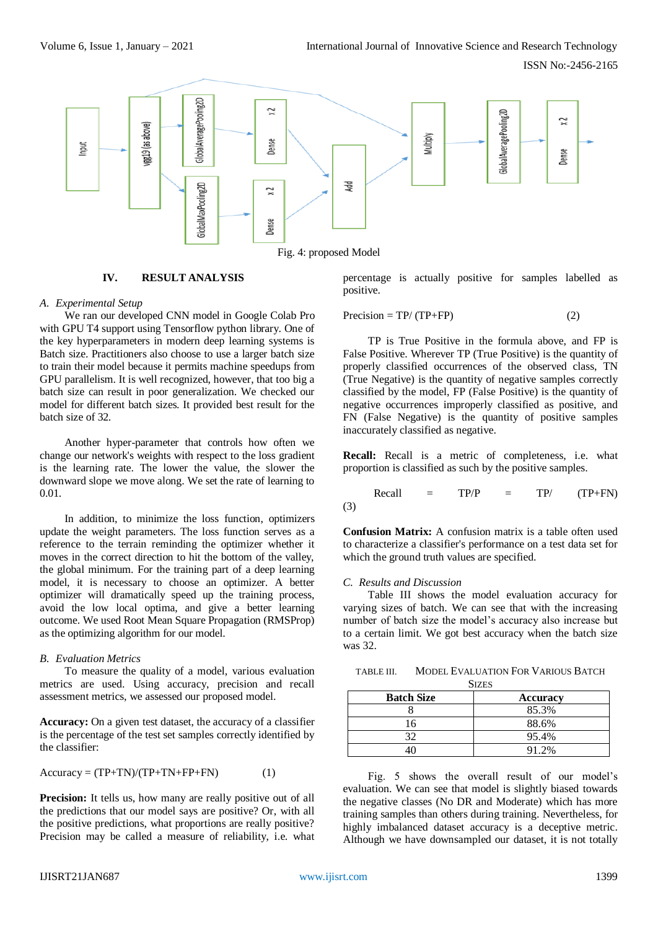

# **IV. RESULT ANALYSIS**

#### *A. Experimental Setup*

We ran our developed CNN model in Google Colab Pro with GPU T4 support using Tensorflow python library. One of the key hyperparameters in modern deep learning systems is Batch size. Practitioners also choose to use a larger batch size to train their model because it permits machine speedups from GPU parallelism. It is well recognized, however, that too big a batch size can result in poor generalization. We checked our model for different batch sizes. It provided best result for the batch size of 32.

Another hyper-parameter that controls how often we change our network's weights with respect to the loss gradient is the learning rate. The lower the value, the slower the downward slope we move along. We set the rate of learning to 0.01.

In addition, to minimize the loss function, optimizers update the weight parameters. The loss function serves as a reference to the terrain reminding the optimizer whether it moves in the correct direction to hit the bottom of the valley, the global minimum. For the training part of a deep learning model, it is necessary to choose an optimizer. A better optimizer will dramatically speed up the training process, avoid the low local optima, and give a better learning outcome. We used Root Mean Square Propagation (RMSProp) as the optimizing algorithm for our model.

# *B. Evaluation Metrics*

To measure the quality of a model, various evaluation metrics are used. Using accuracy, precision and recall assessment metrics, we assessed our proposed model.

**Accuracy:** On a given test dataset, the accuracy of a classifier is the percentage of the test set samples correctly identified by the classifier:

$$
Accuracy = (TP + TN)/(TP + TN + FP + FN)
$$
 (1)

**Precision:** It tells us, how many are really positive out of all the predictions that our model says are positive? Or, with all the positive predictions, what proportions are really positive? Precision may be called a measure of reliability, i.e. what percentage is actually positive for samples labelled as positive.

$$
Precision = TP/(TP + FP)
$$
 (2)

TP is True Positive in the formula above, and FP is False Positive. Wherever TP (True Positive) is the quantity of properly classified occurrences of the observed class, TN (True Negative) is the quantity of negative samples correctly classified by the model, FP (False Positive) is the quantity of negative occurrences improperly classified as positive, and FN (False Negative) is the quantity of positive samples inaccurately classified as negative.

**Recall:** Recall is a metric of completeness, i.e. what proportion is classified as such by the positive samples.

$$
Recall = TP/P = TP/ \t(TP+FN)
$$
\n(3)

**Confusion Matrix:** A confusion matrix is a table often used to characterize a classifier's performance on a test data set for which the ground truth values are specified.

#### *C. Results and Discussion*

Table III shows the model evaluation accuracy for varying sizes of batch. We can see that with the increasing number of batch size the model's accuracy also increase but to a certain limit. We got best accuracy when the batch size was 32.

TABLE III. MODEL EVALUATION FOR VARIOUS BATCH

| <b>SIZES</b>      |                 |  |
|-------------------|-----------------|--|
| <b>Batch Size</b> | <b>Accuracy</b> |  |
|                   | 85.3%           |  |
| 16                | 88.6%           |  |
| 32                | 95.4%           |  |
|                   | 91.2%           |  |

Fig. 5 shows the overall result of our model's evaluation. We can see that model is slightly biased towards the negative classes (No DR and Moderate) which has more training samples than others during training. Nevertheless, for highly imbalanced dataset accuracy is a deceptive metric. Although we have downsampled our dataset, it is not totally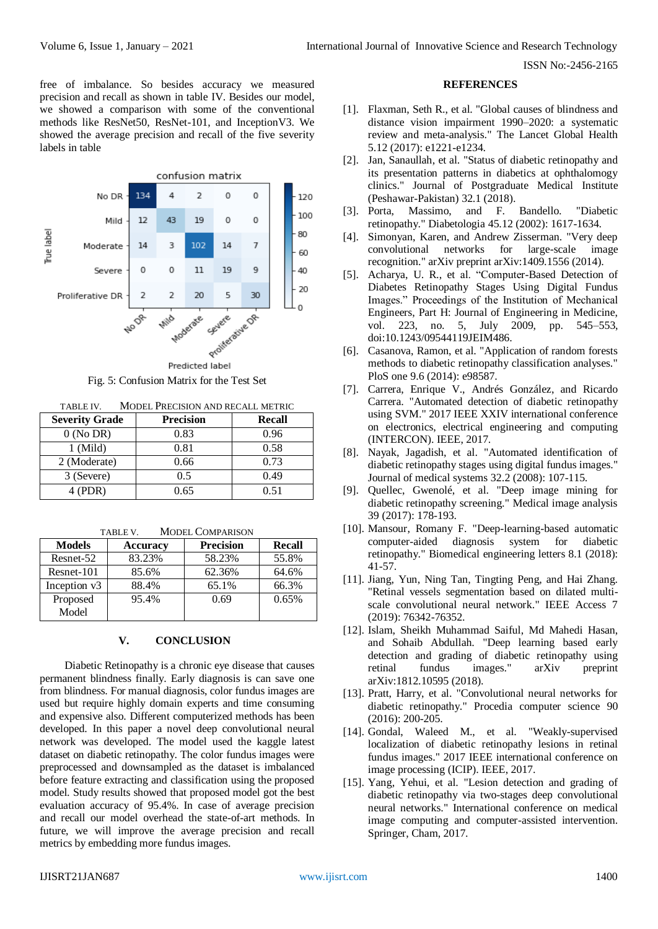free of imbalance. So besides accuracy we measured precision and recall as shown in table IV. Besides our model, we showed a comparison with some of the conventional methods like ResNet50, ResNet-101, and InceptionV3. We showed the average precision and recall of the five severity labels in table



Fig. 5: Confusion Matrix for the Test Set

TABLE IV. MODEL PRECISION AND RECALL METRIC

| <b>Severity Grade</b> | <b>Precision</b> | <b>Recall</b> |
|-----------------------|------------------|---------------|
| $0$ (No DR)           | 0.83             | 0.96          |
| 1 (Mild)              | 0.81             | 0.58          |
| 2 (Moderate)          | 0.66             | 0.73          |
| 3 (Severe)            | 0.5              | 0.49          |
| 4 (PDR)               | 0.65             | 0.51          |

TABLE V. MODEL COMPARISON

| <b>Models</b>     | <b>Accuracy</b> | <b>Precision</b> | <b>Recall</b> |
|-------------------|-----------------|------------------|---------------|
| Resnet-52         | 83.23%          | 58.23%           | 55.8%         |
| Resnet-101        | 85.6%           | 62.36%           | 64.6%         |
| Inception v3      | 88.4%           | 65.1%            | 66.3%         |
| Proposed<br>Model | 95.4%           | 0.69             | 0.65%         |

# **V. CONCLUSION**

Diabetic Retinopathy is a chronic eye disease that causes permanent blindness finally. Early diagnosis is can save one from blindness. For manual diagnosis, color fundus images are used but require highly domain experts and time consuming and expensive also. Different computerized methods has been developed. In this paper a novel deep convolutional neural network was developed. The model used the kaggle latest dataset on diabetic retinopathy. The color fundus images were preprocessed and downsampled as the dataset is imbalanced before feature extracting and classification using the proposed model. Study results showed that proposed model got the best evaluation accuracy of 95.4%. In case of average precision and recall our model overhead the state-of-art methods. In future, we will improve the average precision and recall metrics by embedding more fundus images.

#### **REFERENCES**

- [1]. Flaxman, Seth R., et al. "Global causes of blindness and distance vision impairment 1990–2020: a systematic review and meta-analysis." The Lancet Global Health 5.12 (2017): e1221-e1234.
- [2]. Jan, Sanaullah, et al. "Status of diabetic retinopathy and its presentation patterns in diabetics at ophthalomogy clinics." Journal of Postgraduate Medical Institute (Peshawar-Pakistan) 32.1 (2018).
- [3]. Porta, Massimo, and F. Bandello. "Diabetic retinopathy." Diabetologia 45.12 (2002): 1617-1634.
- [4]. Simonyan, Karen, and Andrew Zisserman. "Very deep convolutional networks for large-scale image recognition." arXiv preprint arXiv:1409.1556 (2014).
- [5]. Acharya, U. R., et al. "Computer-Based Detection of Diabetes Retinopathy Stages Using Digital Fundus Images." Proceedings of the Institution of Mechanical Engineers, Part H: Journal of Engineering in Medicine, vol. 223, no. 5, July 2009, pp. 545–553, doi:10.1243/09544119JEIM486.
- [6]. Casanova, Ramon, et al. "Application of random forests methods to diabetic retinopathy classification analyses." PloS one 9.6 (2014): e98587.
- [7]. Carrera, Enrique V., Andrés González, and Ricardo Carrera. "Automated detection of diabetic retinopathy using SVM." 2017 IEEE XXIV international conference on electronics, electrical engineering and computing (INTERCON). IEEE, 2017.
- [8]. Nayak, Jagadish, et al. "Automated identification of diabetic retinopathy stages using digital fundus images." Journal of medical systems 32.2 (2008): 107-115.
- [9]. Quellec, Gwenolé, et al. "Deep image mining for diabetic retinopathy screening." Medical image analysis 39 (2017): 178-193.
- [10]. Mansour, Romany F. "Deep-learning-based automatic computer-aided diagnosis system for diabetic retinopathy." Biomedical engineering letters 8.1 (2018): 41-57.
- [11]. Jiang, Yun, Ning Tan, Tingting Peng, and Hai Zhang. "Retinal vessels segmentation based on dilated multiscale convolutional neural network." IEEE Access 7 (2019): 76342-76352.
- [12]. Islam, Sheikh Muhammad Saiful, Md Mahedi Hasan, and Sohaib Abdullah. "Deep learning based early detection and grading of diabetic retinopathy using retinal fundus images." arXiv preprint arXiv:1812.10595 (2018).
- [13]. Pratt, Harry, et al. "Convolutional neural networks for diabetic retinopathy." Procedia computer science 90 (2016): 200-205.
- [14]. Gondal, Waleed M., et al. "Weakly-supervised localization of diabetic retinopathy lesions in retinal fundus images." 2017 IEEE international conference on image processing (ICIP). IEEE, 2017.
- [15]. Yang, Yehui, et al. "Lesion detection and grading of diabetic retinopathy via two-stages deep convolutional neural networks." International conference on medical image computing and computer-assisted intervention. Springer, Cham, 2017.